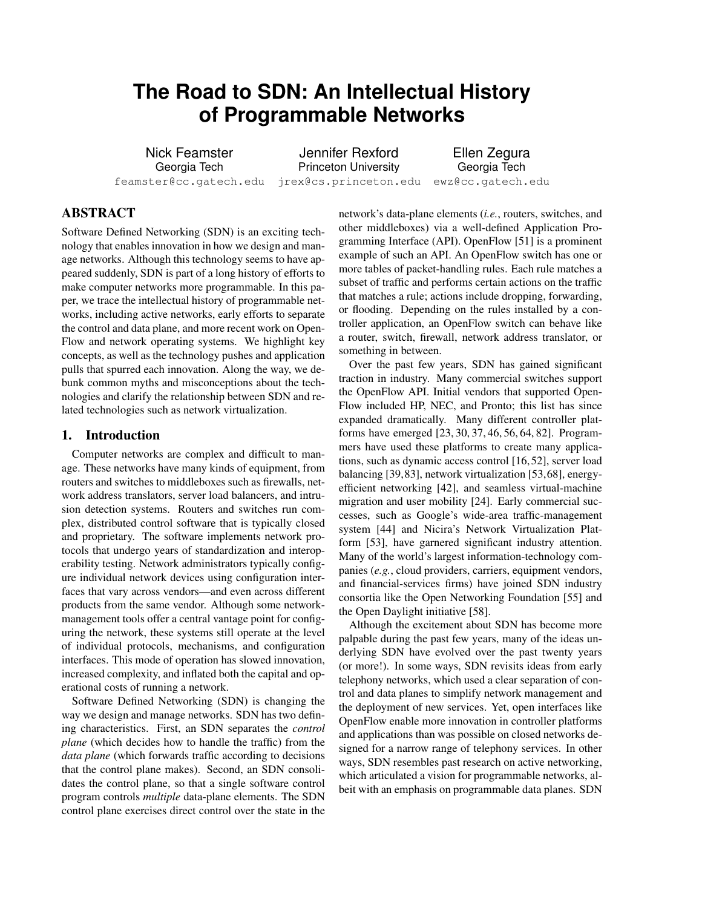# **The Road to SDN: An Intellectual History of Programmable Networks**

Nick Feamster **Jennifer Rexford** Ellen Zegura feamster@cc.gatech.edu jrex@cs.princeton.edu ewz@cc.gatech.edu

Georgia Tech Princeton University Georgia Tech

## ABSTRACT

Software Defined Networking (SDN) is an exciting technology that enables innovation in how we design and manage networks. Although this technology seems to have appeared suddenly, SDN is part of a long history of efforts to make computer networks more programmable. In this paper, we trace the intellectual history of programmable networks, including active networks, early efforts to separate the control and data plane, and more recent work on Open-Flow and network operating systems. We highlight key concepts, as well as the technology pushes and application pulls that spurred each innovation. Along the way, we debunk common myths and misconceptions about the technologies and clarify the relationship between SDN and related technologies such as network virtualization.

#### 1. Introduction

Computer networks are complex and difficult to manage. These networks have many kinds of equipment, from routers and switches to middleboxes such as firewalls, network address translators, server load balancers, and intrusion detection systems. Routers and switches run complex, distributed control software that is typically closed and proprietary. The software implements network protocols that undergo years of standardization and interoperability testing. Network administrators typically configure individual network devices using configuration interfaces that vary across vendors—and even across different products from the same vendor. Although some networkmanagement tools offer a central vantage point for configuring the network, these systems still operate at the level of individual protocols, mechanisms, and configuration interfaces. This mode of operation has slowed innovation, increased complexity, and inflated both the capital and operational costs of running a network.

Software Defined Networking (SDN) is changing the way we design and manage networks. SDN has two defining characteristics. First, an SDN separates the *control plane* (which decides how to handle the traffic) from the *data plane* (which forwards traffic according to decisions that the control plane makes). Second, an SDN consolidates the control plane, so that a single software control program controls *multiple* data-plane elements. The SDN control plane exercises direct control over the state in the

network's data-plane elements (*i.e.*, routers, switches, and other middleboxes) via a well-defined Application Programming Interface (API). OpenFlow [51] is a prominent example of such an API. An OpenFlow switch has one or more tables of packet-handling rules. Each rule matches a subset of traffic and performs certain actions on the traffic that matches a rule; actions include dropping, forwarding, or flooding. Depending on the rules installed by a controller application, an OpenFlow switch can behave like a router, switch, firewall, network address translator, or something in between.

Over the past few years, SDN has gained significant traction in industry. Many commercial switches support the OpenFlow API. Initial vendors that supported Open-Flow included HP, NEC, and Pronto; this list has since expanded dramatically. Many different controller platforms have emerged [23, 30, 37, 46, 56, 64, 82]. Programmers have used these platforms to create many applications, such as dynamic access control [16, 52], server load balancing [39,83], network virtualization [53,68], energyefficient networking [42], and seamless virtual-machine migration and user mobility [24]. Early commercial successes, such as Google's wide-area traffic-management system [44] and Nicira's Network Virtualization Platform [53], have garnered significant industry attention. Many of the world's largest information-technology companies (*e.g.*, cloud providers, carriers, equipment vendors, and financial-services firms) have joined SDN industry consortia like the Open Networking Foundation [55] and the Open Daylight initiative [58].

Although the excitement about SDN has become more palpable during the past few years, many of the ideas underlying SDN have evolved over the past twenty years (or more!). In some ways, SDN revisits ideas from early telephony networks, which used a clear separation of control and data planes to simplify network management and the deployment of new services. Yet, open interfaces like OpenFlow enable more innovation in controller platforms and applications than was possible on closed networks designed for a narrow range of telephony services. In other ways, SDN resembles past research on active networking, which articulated a vision for programmable networks, albeit with an emphasis on programmable data planes. SDN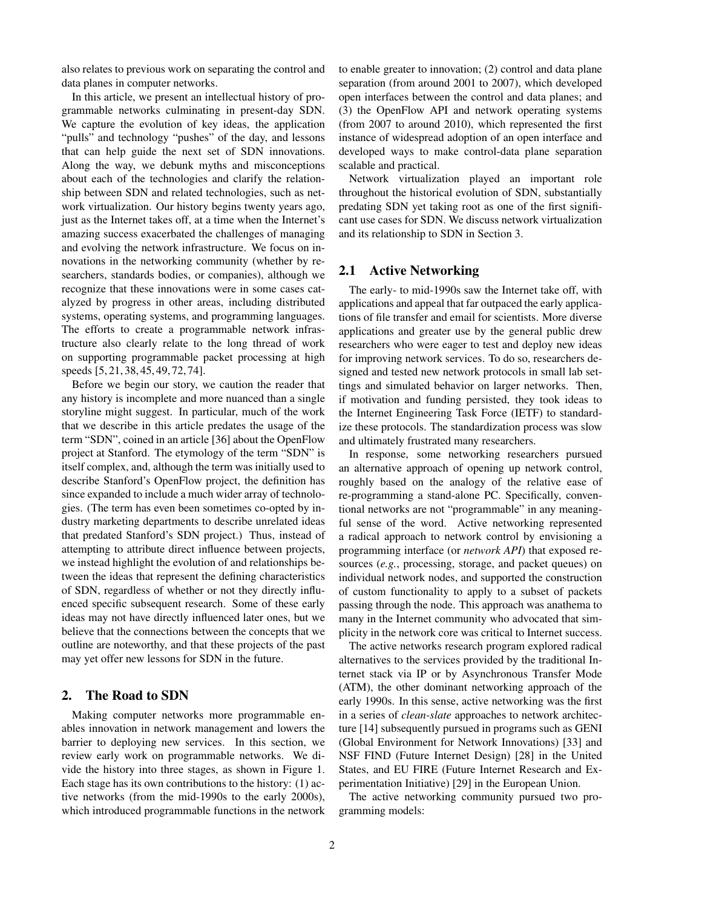also relates to previous work on separating the control and data planes in computer networks.

In this article, we present an intellectual history of programmable networks culminating in present-day SDN. We capture the evolution of key ideas, the application "pulls" and technology "pushes" of the day, and lessons that can help guide the next set of SDN innovations. Along the way, we debunk myths and misconceptions about each of the technologies and clarify the relationship between SDN and related technologies, such as network virtualization. Our history begins twenty years ago, just as the Internet takes off, at a time when the Internet's amazing success exacerbated the challenges of managing and evolving the network infrastructure. We focus on innovations in the networking community (whether by researchers, standards bodies, or companies), although we recognize that these innovations were in some cases catalyzed by progress in other areas, including distributed systems, operating systems, and programming languages. The efforts to create a programmable network infrastructure also clearly relate to the long thread of work on supporting programmable packet processing at high speeds [5, 21, 38, 45, 49, 72, 74].

Before we begin our story, we caution the reader that any history is incomplete and more nuanced than a single storyline might suggest. In particular, much of the work that we describe in this article predates the usage of the term "SDN", coined in an article [36] about the OpenFlow project at Stanford. The etymology of the term "SDN" is itself complex, and, although the term was initially used to describe Stanford's OpenFlow project, the definition has since expanded to include a much wider array of technologies. (The term has even been sometimes co-opted by industry marketing departments to describe unrelated ideas that predated Stanford's SDN project.) Thus, instead of attempting to attribute direct influence between projects, we instead highlight the evolution of and relationships between the ideas that represent the defining characteristics of SDN, regardless of whether or not they directly influenced specific subsequent research. Some of these early ideas may not have directly influenced later ones, but we believe that the connections between the concepts that we outline are noteworthy, and that these projects of the past may yet offer new lessons for SDN in the future.

#### 2. The Road to SDN

Making computer networks more programmable enables innovation in network management and lowers the barrier to deploying new services. In this section, we review early work on programmable networks. We divide the history into three stages, as shown in Figure 1. Each stage has its own contributions to the history: (1) active networks (from the mid-1990s to the early 2000s), which introduced programmable functions in the network to enable greater to innovation; (2) control and data plane separation (from around 2001 to 2007), which developed open interfaces between the control and data planes; and (3) the OpenFlow API and network operating systems (from 2007 to around 2010), which represented the first instance of widespread adoption of an open interface and developed ways to make control-data plane separation scalable and practical.

Network virtualization played an important role throughout the historical evolution of SDN, substantially predating SDN yet taking root as one of the first significant use cases for SDN. We discuss network virtualization and its relationship to SDN in Section 3.

## 2.1 Active Networking

The early- to mid-1990s saw the Internet take off, with applications and appeal that far outpaced the early applications of file transfer and email for scientists. More diverse applications and greater use by the general public drew researchers who were eager to test and deploy new ideas for improving network services. To do so, researchers designed and tested new network protocols in small lab settings and simulated behavior on larger networks. Then, if motivation and funding persisted, they took ideas to the Internet Engineering Task Force (IETF) to standardize these protocols. The standardization process was slow and ultimately frustrated many researchers.

In response, some networking researchers pursued an alternative approach of opening up network control, roughly based on the analogy of the relative ease of re-programming a stand-alone PC. Specifically, conventional networks are not "programmable" in any meaningful sense of the word. Active networking represented a radical approach to network control by envisioning a programming interface (or *network API*) that exposed resources (*e.g.*, processing, storage, and packet queues) on individual network nodes, and supported the construction of custom functionality to apply to a subset of packets passing through the node. This approach was anathema to many in the Internet community who advocated that simplicity in the network core was critical to Internet success.

The active networks research program explored radical alternatives to the services provided by the traditional Internet stack via IP or by Asynchronous Transfer Mode (ATM), the other dominant networking approach of the early 1990s. In this sense, active networking was the first in a series of *clean-slate* approaches to network architecture [14] subsequently pursued in programs such as GENI (Global Environment for Network Innovations) [33] and NSF FIND (Future Internet Design) [28] in the United States, and EU FIRE (Future Internet Research and Experimentation Initiative) [29] in the European Union.

The active networking community pursued two programming models: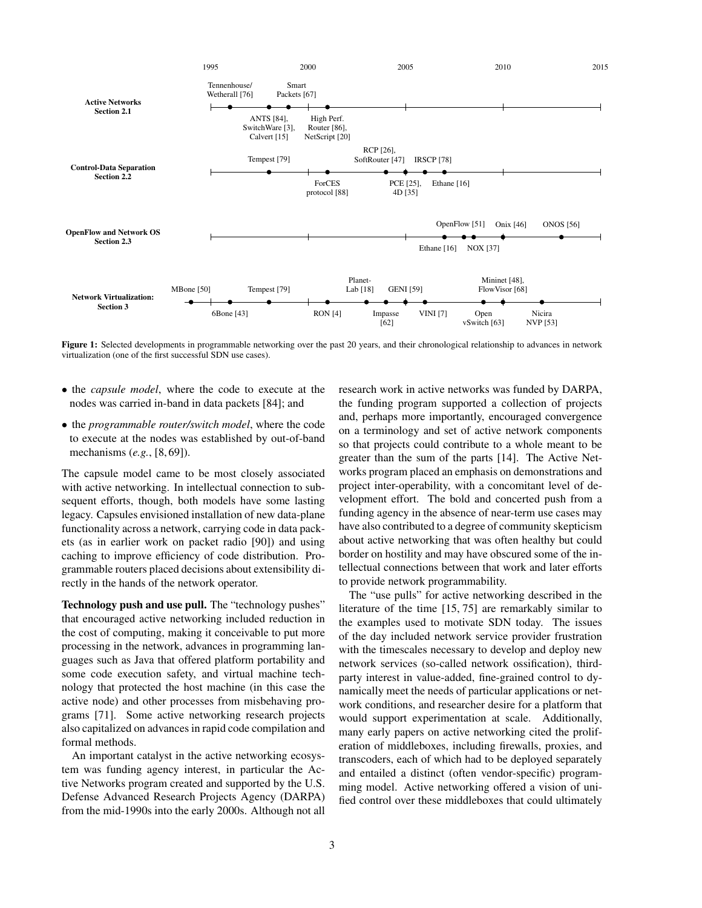

Figure 1: Selected developments in programmable networking over the past 20 years, and their chronological relationship to advances in network virtualization (one of the first successful SDN use cases).

- the *capsule model*, where the code to execute at the nodes was carried in-band in data packets [84]; and
- the *programmable router/switch model*, where the code to execute at the nodes was established by out-of-band mechanisms (*e.g.*, [8, 69]).

The capsule model came to be most closely associated with active networking. In intellectual connection to subsequent efforts, though, both models have some lasting legacy. Capsules envisioned installation of new data-plane functionality across a network, carrying code in data packets (as in earlier work on packet radio [90]) and using caching to improve efficiency of code distribution. Programmable routers placed decisions about extensibility directly in the hands of the network operator.

Technology push and use pull. The "technology pushes" that encouraged active networking included reduction in the cost of computing, making it conceivable to put more processing in the network, advances in programming languages such as Java that offered platform portability and some code execution safety, and virtual machine technology that protected the host machine (in this case the active node) and other processes from misbehaving programs [71]. Some active networking research projects also capitalized on advances in rapid code compilation and formal methods.

An important catalyst in the active networking ecosystem was funding agency interest, in particular the Active Networks program created and supported by the U.S. Defense Advanced Research Projects Agency (DARPA) from the mid-1990s into the early 2000s. Although not all research work in active networks was funded by DARPA, the funding program supported a collection of projects and, perhaps more importantly, encouraged convergence on a terminology and set of active network components so that projects could contribute to a whole meant to be greater than the sum of the parts [14]. The Active Networks program placed an emphasis on demonstrations and project inter-operability, with a concomitant level of development effort. The bold and concerted push from a funding agency in the absence of near-term use cases may have also contributed to a degree of community skepticism about active networking that was often healthy but could border on hostility and may have obscured some of the intellectual connections between that work and later efforts to provide network programmability.

The "use pulls" for active networking described in the literature of the time [15, 75] are remarkably similar to the examples used to motivate SDN today. The issues of the day included network service provider frustration with the timescales necessary to develop and deploy new network services (so-called network ossification), thirdparty interest in value-added, fine-grained control to dynamically meet the needs of particular applications or network conditions, and researcher desire for a platform that would support experimentation at scale. Additionally, many early papers on active networking cited the proliferation of middleboxes, including firewalls, proxies, and transcoders, each of which had to be deployed separately and entailed a distinct (often vendor-specific) programming model. Active networking offered a vision of unified control over these middleboxes that could ultimately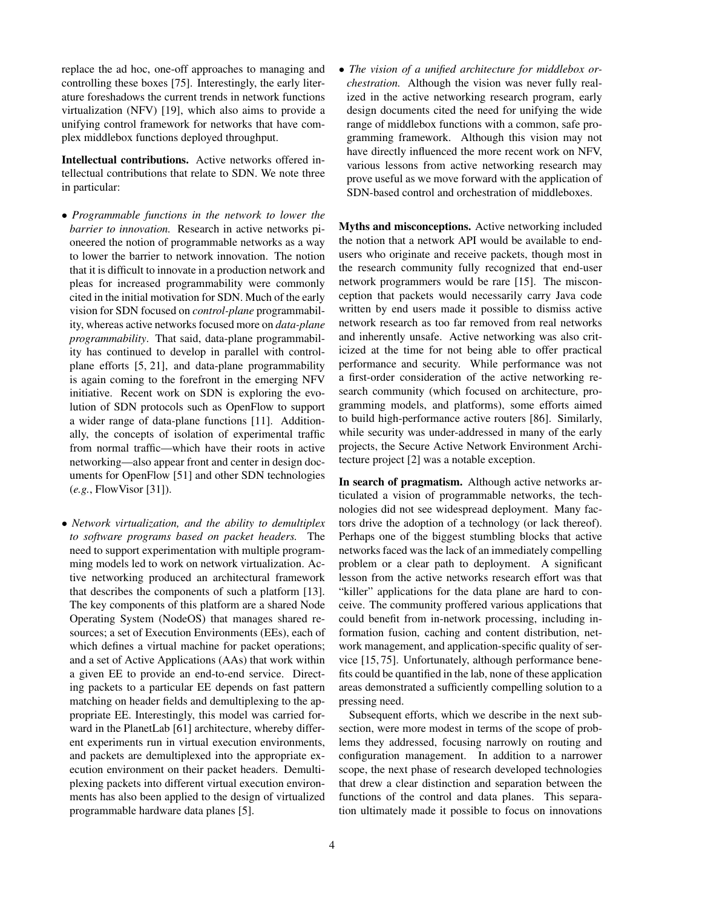replace the ad hoc, one-off approaches to managing and controlling these boxes [75]. Interestingly, the early literature foreshadows the current trends in network functions virtualization (NFV) [19], which also aims to provide a unifying control framework for networks that have complex middlebox functions deployed throughput.

Intellectual contributions. Active networks offered intellectual contributions that relate to SDN. We note three in particular:

- *Programmable functions in the network to lower the barrier to innovation.* Research in active networks pioneered the notion of programmable networks as a way to lower the barrier to network innovation. The notion that it is difficult to innovate in a production network and pleas for increased programmability were commonly cited in the initial motivation for SDN. Much of the early vision for SDN focused on *control-plane* programmability, whereas active networks focused more on *data-plane programmability*. That said, data-plane programmability has continued to develop in parallel with controlplane efforts [5, 21], and data-plane programmability is again coming to the forefront in the emerging NFV initiative. Recent work on SDN is exploring the evolution of SDN protocols such as OpenFlow to support a wider range of data-plane functions [11]. Additionally, the concepts of isolation of experimental traffic from normal traffic—which have their roots in active networking—also appear front and center in design documents for OpenFlow [51] and other SDN technologies (*e.g.*, FlowVisor [31]).
- *Network virtualization, and the ability to demultiplex to software programs based on packet headers.* The need to support experimentation with multiple programming models led to work on network virtualization. Active networking produced an architectural framework that describes the components of such a platform [13]. The key components of this platform are a shared Node Operating System (NodeOS) that manages shared resources; a set of Execution Environments (EEs), each of which defines a virtual machine for packet operations; and a set of Active Applications (AAs) that work within a given EE to provide an end-to-end service. Directing packets to a particular EE depends on fast pattern matching on header fields and demultiplexing to the appropriate EE. Interestingly, this model was carried forward in the PlanetLab [61] architecture, whereby different experiments run in virtual execution environments, and packets are demultiplexed into the appropriate execution environment on their packet headers. Demultiplexing packets into different virtual execution environments has also been applied to the design of virtualized programmable hardware data planes [5].

• *The vision of a unified architecture for middlebox orchestration.* Although the vision was never fully realized in the active networking research program, early design documents cited the need for unifying the wide range of middlebox functions with a common, safe programming framework. Although this vision may not have directly influenced the more recent work on NFV, various lessons from active networking research may prove useful as we move forward with the application of SDN-based control and orchestration of middleboxes.

Myths and misconceptions. Active networking included the notion that a network API would be available to endusers who originate and receive packets, though most in the research community fully recognized that end-user network programmers would be rare [15]. The misconception that packets would necessarily carry Java code written by end users made it possible to dismiss active network research as too far removed from real networks and inherently unsafe. Active networking was also criticized at the time for not being able to offer practical performance and security. While performance was not a first-order consideration of the active networking research community (which focused on architecture, programming models, and platforms), some efforts aimed to build high-performance active routers [86]. Similarly, while security was under-addressed in many of the early projects, the Secure Active Network Environment Architecture project [2] was a notable exception.

In search of pragmatism. Although active networks articulated a vision of programmable networks, the technologies did not see widespread deployment. Many factors drive the adoption of a technology (or lack thereof). Perhaps one of the biggest stumbling blocks that active networks faced was the lack of an immediately compelling problem or a clear path to deployment. A significant lesson from the active networks research effort was that "killer" applications for the data plane are hard to conceive. The community proffered various applications that could benefit from in-network processing, including information fusion, caching and content distribution, network management, and application-specific quality of service [15, 75]. Unfortunately, although performance benefits could be quantified in the lab, none of these application areas demonstrated a sufficiently compelling solution to a pressing need.

Subsequent efforts, which we describe in the next subsection, were more modest in terms of the scope of problems they addressed, focusing narrowly on routing and configuration management. In addition to a narrower scope, the next phase of research developed technologies that drew a clear distinction and separation between the functions of the control and data planes. This separation ultimately made it possible to focus on innovations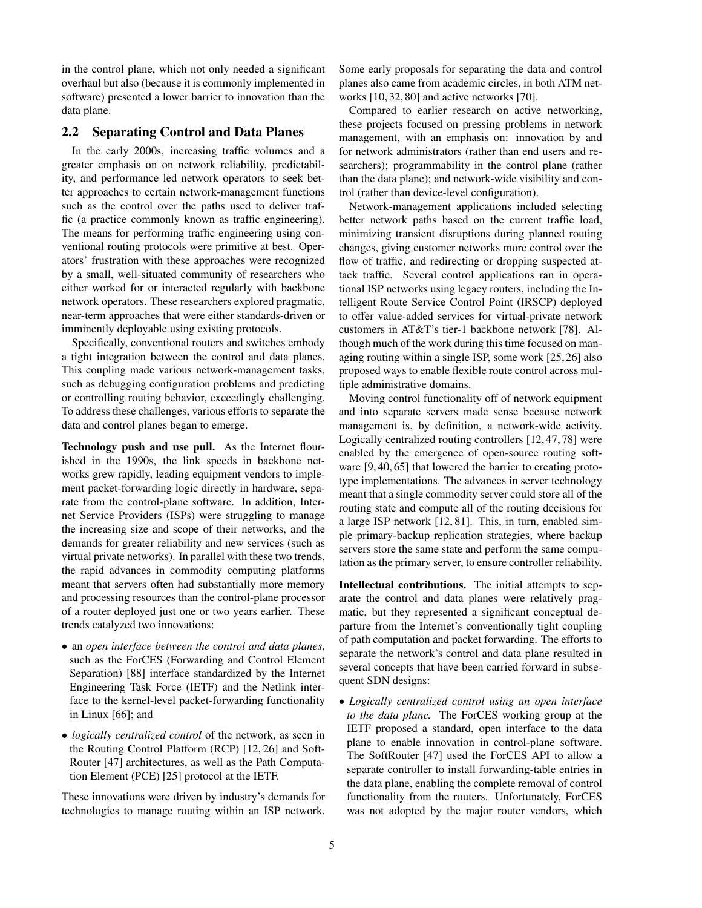in the control plane, which not only needed a significant overhaul but also (because it is commonly implemented in software) presented a lower barrier to innovation than the data plane.

## 2.2 Separating Control and Data Planes

In the early 2000s, increasing traffic volumes and a greater emphasis on on network reliability, predictability, and performance led network operators to seek better approaches to certain network-management functions such as the control over the paths used to deliver traffic (a practice commonly known as traffic engineering). The means for performing traffic engineering using conventional routing protocols were primitive at best. Operators' frustration with these approaches were recognized by a small, well-situated community of researchers who either worked for or interacted regularly with backbone network operators. These researchers explored pragmatic, near-term approaches that were either standards-driven or imminently deployable using existing protocols.

Specifically, conventional routers and switches embody a tight integration between the control and data planes. This coupling made various network-management tasks, such as debugging configuration problems and predicting or controlling routing behavior, exceedingly challenging. To address these challenges, various efforts to separate the data and control planes began to emerge.

Technology push and use pull. As the Internet flourished in the 1990s, the link speeds in backbone networks grew rapidly, leading equipment vendors to implement packet-forwarding logic directly in hardware, separate from the control-plane software. In addition, Internet Service Providers (ISPs) were struggling to manage the increasing size and scope of their networks, and the demands for greater reliability and new services (such as virtual private networks). In parallel with these two trends, the rapid advances in commodity computing platforms meant that servers often had substantially more memory and processing resources than the control-plane processor of a router deployed just one or two years earlier. These trends catalyzed two innovations:

- an *open interface between the control and data planes*, such as the ForCES (Forwarding and Control Element Separation) [88] interface standardized by the Internet Engineering Task Force (IETF) and the Netlink interface to the kernel-level packet-forwarding functionality in Linux [66]; and
- *logically centralized control* of the network, as seen in the Routing Control Platform (RCP) [12, 26] and Soft-Router [47] architectures, as well as the Path Computation Element (PCE) [25] protocol at the IETF.

These innovations were driven by industry's demands for technologies to manage routing within an ISP network.

Some early proposals for separating the data and control planes also came from academic circles, in both ATM networks [10, 32, 80] and active networks [70].

Compared to earlier research on active networking, these projects focused on pressing problems in network management, with an emphasis on: innovation by and for network administrators (rather than end users and researchers); programmability in the control plane (rather than the data plane); and network-wide visibility and control (rather than device-level configuration).

Network-management applications included selecting better network paths based on the current traffic load, minimizing transient disruptions during planned routing changes, giving customer networks more control over the flow of traffic, and redirecting or dropping suspected attack traffic. Several control applications ran in operational ISP networks using legacy routers, including the Intelligent Route Service Control Point (IRSCP) deployed to offer value-added services for virtual-private network customers in AT&T's tier-1 backbone network [78]. Although much of the work during this time focused on managing routing within a single ISP, some work [25, 26] also proposed ways to enable flexible route control across multiple administrative domains.

Moving control functionality off of network equipment and into separate servers made sense because network management is, by definition, a network-wide activity. Logically centralized routing controllers [12, 47, 78] were enabled by the emergence of open-source routing software [9, 40, 65] that lowered the barrier to creating prototype implementations. The advances in server technology meant that a single commodity server could store all of the routing state and compute all of the routing decisions for a large ISP network [12, 81]. This, in turn, enabled simple primary-backup replication strategies, where backup servers store the same state and perform the same computation as the primary server, to ensure controller reliability.

Intellectual contributions. The initial attempts to separate the control and data planes were relatively pragmatic, but they represented a significant conceptual departure from the Internet's conventionally tight coupling of path computation and packet forwarding. The efforts to separate the network's control and data plane resulted in several concepts that have been carried forward in subsequent SDN designs:

• *Logically centralized control using an open interface to the data plane.* The ForCES working group at the IETF proposed a standard, open interface to the data plane to enable innovation in control-plane software. The SoftRouter [47] used the ForCES API to allow a separate controller to install forwarding-table entries in the data plane, enabling the complete removal of control functionality from the routers. Unfortunately, ForCES was not adopted by the major router vendors, which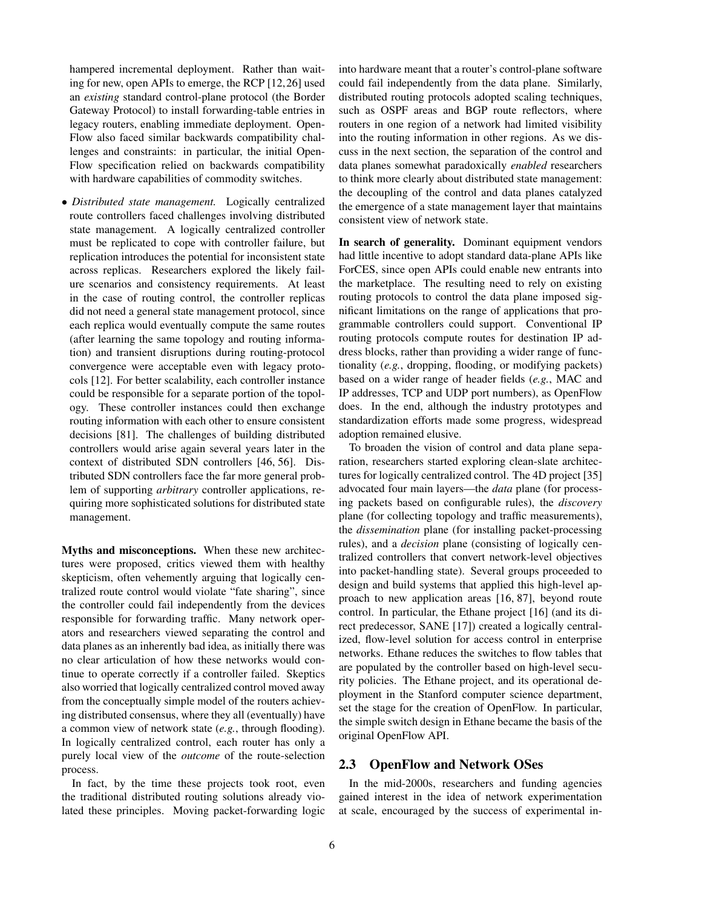hampered incremental deployment. Rather than waiting for new, open APIs to emerge, the RCP [12,26] used an *existing* standard control-plane protocol (the Border Gateway Protocol) to install forwarding-table entries in legacy routers, enabling immediate deployment. Open-Flow also faced similar backwards compatibility challenges and constraints: in particular, the initial Open-Flow specification relied on backwards compatibility with hardware capabilities of commodity switches.

• *Distributed state management.* Logically centralized route controllers faced challenges involving distributed state management. A logically centralized controller must be replicated to cope with controller failure, but replication introduces the potential for inconsistent state across replicas. Researchers explored the likely failure scenarios and consistency requirements. At least in the case of routing control, the controller replicas did not need a general state management protocol, since each replica would eventually compute the same routes (after learning the same topology and routing information) and transient disruptions during routing-protocol convergence were acceptable even with legacy protocols [12]. For better scalability, each controller instance could be responsible for a separate portion of the topology. These controller instances could then exchange routing information with each other to ensure consistent decisions [81]. The challenges of building distributed controllers would arise again several years later in the context of distributed SDN controllers [46, 56]. Distributed SDN controllers face the far more general problem of supporting *arbitrary* controller applications, requiring more sophisticated solutions for distributed state management.

Myths and misconceptions. When these new architectures were proposed, critics viewed them with healthy skepticism, often vehemently arguing that logically centralized route control would violate "fate sharing", since the controller could fail independently from the devices responsible for forwarding traffic. Many network operators and researchers viewed separating the control and data planes as an inherently bad idea, as initially there was no clear articulation of how these networks would continue to operate correctly if a controller failed. Skeptics also worried that logically centralized control moved away from the conceptually simple model of the routers achieving distributed consensus, where they all (eventually) have a common view of network state (*e.g.*, through flooding). In logically centralized control, each router has only a purely local view of the *outcome* of the route-selection process.

In fact, by the time these projects took root, even the traditional distributed routing solutions already violated these principles. Moving packet-forwarding logic

into hardware meant that a router's control-plane software could fail independently from the data plane. Similarly, distributed routing protocols adopted scaling techniques, such as OSPF areas and BGP route reflectors, where routers in one region of a network had limited visibility into the routing information in other regions. As we discuss in the next section, the separation of the control and data planes somewhat paradoxically *enabled* researchers to think more clearly about distributed state management: the decoupling of the control and data planes catalyzed the emergence of a state management layer that maintains consistent view of network state.

In search of generality. Dominant equipment vendors had little incentive to adopt standard data-plane APIs like ForCES, since open APIs could enable new entrants into the marketplace. The resulting need to rely on existing routing protocols to control the data plane imposed significant limitations on the range of applications that programmable controllers could support. Conventional IP routing protocols compute routes for destination IP address blocks, rather than providing a wider range of functionality (*e.g.*, dropping, flooding, or modifying packets) based on a wider range of header fields (*e.g.*, MAC and IP addresses, TCP and UDP port numbers), as OpenFlow does. In the end, although the industry prototypes and standardization efforts made some progress, widespread adoption remained elusive.

To broaden the vision of control and data plane separation, researchers started exploring clean-slate architectures for logically centralized control. The 4D project [35] advocated four main layers—the *data* plane (for processing packets based on configurable rules), the *discovery* plane (for collecting topology and traffic measurements), the *dissemination* plane (for installing packet-processing rules), and a *decision* plane (consisting of logically centralized controllers that convert network-level objectives into packet-handling state). Several groups proceeded to design and build systems that applied this high-level approach to new application areas [16, 87], beyond route control. In particular, the Ethane project [16] (and its direct predecessor, SANE [17]) created a logically centralized, flow-level solution for access control in enterprise networks. Ethane reduces the switches to flow tables that are populated by the controller based on high-level security policies. The Ethane project, and its operational deployment in the Stanford computer science department, set the stage for the creation of OpenFlow. In particular, the simple switch design in Ethane became the basis of the original OpenFlow API.

## 2.3 OpenFlow and Network OSes

In the mid-2000s, researchers and funding agencies gained interest in the idea of network experimentation at scale, encouraged by the success of experimental in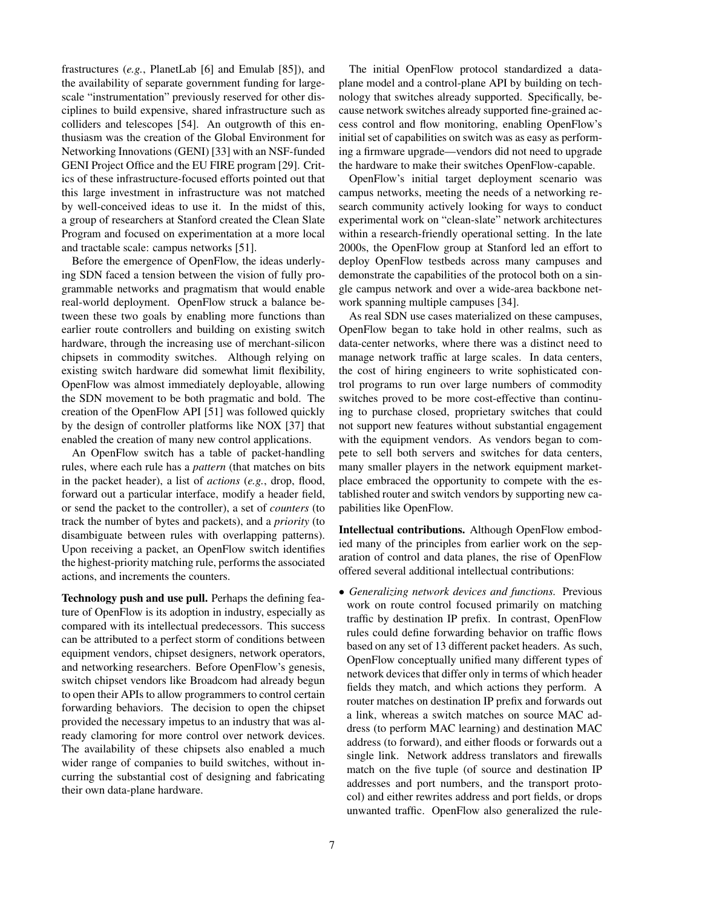frastructures (*e.g.*, PlanetLab [6] and Emulab [85]), and the availability of separate government funding for largescale "instrumentation" previously reserved for other disciplines to build expensive, shared infrastructure such as colliders and telescopes [54]. An outgrowth of this enthusiasm was the creation of the Global Environment for Networking Innovations (GENI) [33] with an NSF-funded GENI Project Office and the EU FIRE program [29]. Critics of these infrastructure-focused efforts pointed out that this large investment in infrastructure was not matched by well-conceived ideas to use it. In the midst of this, a group of researchers at Stanford created the Clean Slate Program and focused on experimentation at a more local and tractable scale: campus networks [51].

Before the emergence of OpenFlow, the ideas underlying SDN faced a tension between the vision of fully programmable networks and pragmatism that would enable real-world deployment. OpenFlow struck a balance between these two goals by enabling more functions than earlier route controllers and building on existing switch hardware, through the increasing use of merchant-silicon chipsets in commodity switches. Although relying on existing switch hardware did somewhat limit flexibility, OpenFlow was almost immediately deployable, allowing the SDN movement to be both pragmatic and bold. The creation of the OpenFlow API [51] was followed quickly by the design of controller platforms like NOX [37] that enabled the creation of many new control applications.

An OpenFlow switch has a table of packet-handling rules, where each rule has a *pattern* (that matches on bits in the packet header), a list of *actions* (*e.g.*, drop, flood, forward out a particular interface, modify a header field, or send the packet to the controller), a set of *counters* (to track the number of bytes and packets), and a *priority* (to disambiguate between rules with overlapping patterns). Upon receiving a packet, an OpenFlow switch identifies the highest-priority matching rule, performs the associated actions, and increments the counters.

Technology push and use pull. Perhaps the defining feature of OpenFlow is its adoption in industry, especially as compared with its intellectual predecessors. This success can be attributed to a perfect storm of conditions between equipment vendors, chipset designers, network operators, and networking researchers. Before OpenFlow's genesis, switch chipset vendors like Broadcom had already begun to open their APIs to allow programmers to control certain forwarding behaviors. The decision to open the chipset provided the necessary impetus to an industry that was already clamoring for more control over network devices. The availability of these chipsets also enabled a much wider range of companies to build switches, without incurring the substantial cost of designing and fabricating their own data-plane hardware.

The initial OpenFlow protocol standardized a dataplane model and a control-plane API by building on technology that switches already supported. Specifically, because network switches already supported fine-grained access control and flow monitoring, enabling OpenFlow's initial set of capabilities on switch was as easy as performing a firmware upgrade—vendors did not need to upgrade the hardware to make their switches OpenFlow-capable.

OpenFlow's initial target deployment scenario was campus networks, meeting the needs of a networking research community actively looking for ways to conduct experimental work on "clean-slate" network architectures within a research-friendly operational setting. In the late 2000s, the OpenFlow group at Stanford led an effort to deploy OpenFlow testbeds across many campuses and demonstrate the capabilities of the protocol both on a single campus network and over a wide-area backbone network spanning multiple campuses [34].

As real SDN use cases materialized on these campuses, OpenFlow began to take hold in other realms, such as data-center networks, where there was a distinct need to manage network traffic at large scales. In data centers, the cost of hiring engineers to write sophisticated control programs to run over large numbers of commodity switches proved to be more cost-effective than continuing to purchase closed, proprietary switches that could not support new features without substantial engagement with the equipment vendors. As vendors began to compete to sell both servers and switches for data centers, many smaller players in the network equipment marketplace embraced the opportunity to compete with the established router and switch vendors by supporting new capabilities like OpenFlow.

Intellectual contributions. Although OpenFlow embodied many of the principles from earlier work on the separation of control and data planes, the rise of OpenFlow offered several additional intellectual contributions:

• *Generalizing network devices and functions.* Previous work on route control focused primarily on matching traffic by destination IP prefix. In contrast, OpenFlow rules could define forwarding behavior on traffic flows based on any set of 13 different packet headers. As such, OpenFlow conceptually unified many different types of network devices that differ only in terms of which header fields they match, and which actions they perform. A router matches on destination IP prefix and forwards out a link, whereas a switch matches on source MAC address (to perform MAC learning) and destination MAC address (to forward), and either floods or forwards out a single link. Network address translators and firewalls match on the five tuple (of source and destination IP addresses and port numbers, and the transport protocol) and either rewrites address and port fields, or drops unwanted traffic. OpenFlow also generalized the rule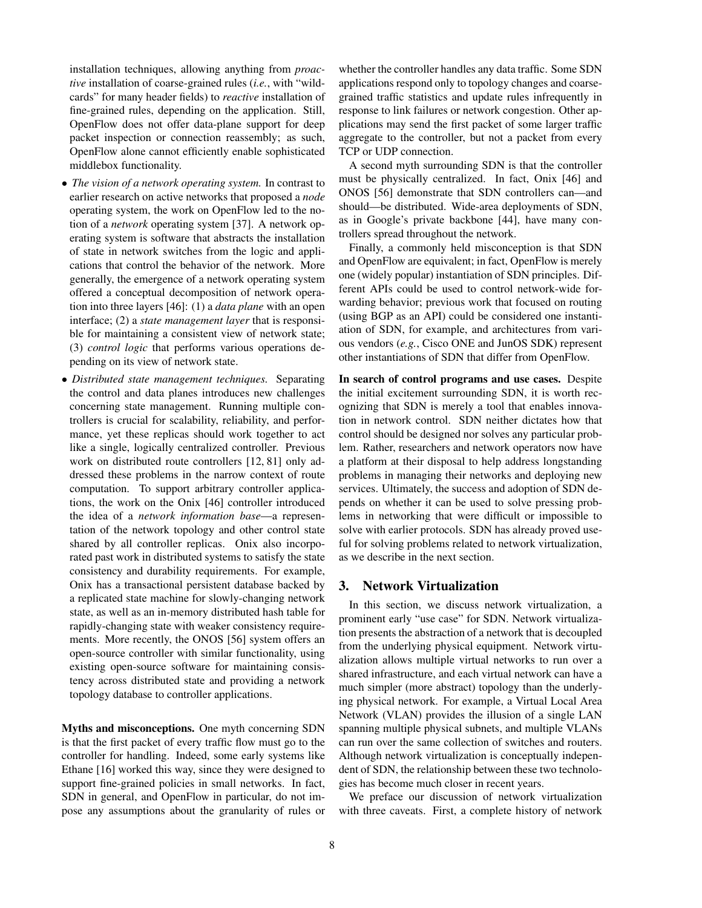installation techniques, allowing anything from *proactive* installation of coarse-grained rules (*i.e.*, with "wildcards" for many header fields) to *reactive* installation of fine-grained rules, depending on the application. Still, OpenFlow does not offer data-plane support for deep packet inspection or connection reassembly; as such, OpenFlow alone cannot efficiently enable sophisticated middlebox functionality.

- *The vision of a network operating system.* In contrast to earlier research on active networks that proposed a *node* operating system, the work on OpenFlow led to the notion of a *network* operating system [37]. A network operating system is software that abstracts the installation of state in network switches from the logic and applications that control the behavior of the network. More generally, the emergence of a network operating system offered a conceptual decomposition of network operation into three layers [46]: (1) a *data plane* with an open interface; (2) a *state management layer* that is responsible for maintaining a consistent view of network state; (3) *control logic* that performs various operations depending on its view of network state.
- *Distributed state management techniques.* Separating the control and data planes introduces new challenges concerning state management. Running multiple controllers is crucial for scalability, reliability, and performance, yet these replicas should work together to act like a single, logically centralized controller. Previous work on distributed route controllers [12, 81] only addressed these problems in the narrow context of route computation. To support arbitrary controller applications, the work on the Onix [46] controller introduced the idea of a *network information base*—a representation of the network topology and other control state shared by all controller replicas. Onix also incorporated past work in distributed systems to satisfy the state consistency and durability requirements. For example, Onix has a transactional persistent database backed by a replicated state machine for slowly-changing network state, as well as an in-memory distributed hash table for rapidly-changing state with weaker consistency requirements. More recently, the ONOS [56] system offers an open-source controller with similar functionality, using existing open-source software for maintaining consistency across distributed state and providing a network topology database to controller applications.

Myths and misconceptions. One myth concerning SDN is that the first packet of every traffic flow must go to the controller for handling. Indeed, some early systems like Ethane [16] worked this way, since they were designed to support fine-grained policies in small networks. In fact, SDN in general, and OpenFlow in particular, do not impose any assumptions about the granularity of rules or

whether the controller handles any data traffic. Some SDN applications respond only to topology changes and coarsegrained traffic statistics and update rules infrequently in response to link failures or network congestion. Other applications may send the first packet of some larger traffic aggregate to the controller, but not a packet from every TCP or UDP connection.

A second myth surrounding SDN is that the controller must be physically centralized. In fact, Onix [46] and ONOS [56] demonstrate that SDN controllers can—and should—be distributed. Wide-area deployments of SDN, as in Google's private backbone [44], have many controllers spread throughout the network.

Finally, a commonly held misconception is that SDN and OpenFlow are equivalent; in fact, OpenFlow is merely one (widely popular) instantiation of SDN principles. Different APIs could be used to control network-wide forwarding behavior; previous work that focused on routing (using BGP as an API) could be considered one instantiation of SDN, for example, and architectures from various vendors (*e.g.*, Cisco ONE and JunOS SDK) represent other instantiations of SDN that differ from OpenFlow.

In search of control programs and use cases. Despite the initial excitement surrounding SDN, it is worth recognizing that SDN is merely a tool that enables innovation in network control. SDN neither dictates how that control should be designed nor solves any particular problem. Rather, researchers and network operators now have a platform at their disposal to help address longstanding problems in managing their networks and deploying new services. Ultimately, the success and adoption of SDN depends on whether it can be used to solve pressing problems in networking that were difficult or impossible to solve with earlier protocols. SDN has already proved useful for solving problems related to network virtualization, as we describe in the next section.

#### 3. Network Virtualization

In this section, we discuss network virtualization, a prominent early "use case" for SDN. Network virtualization presents the abstraction of a network that is decoupled from the underlying physical equipment. Network virtualization allows multiple virtual networks to run over a shared infrastructure, and each virtual network can have a much simpler (more abstract) topology than the underlying physical network. For example, a Virtual Local Area Network (VLAN) provides the illusion of a single LAN spanning multiple physical subnets, and multiple VLANs can run over the same collection of switches and routers. Although network virtualization is conceptually independent of SDN, the relationship between these two technologies has become much closer in recent years.

We preface our discussion of network virtualization with three caveats. First, a complete history of network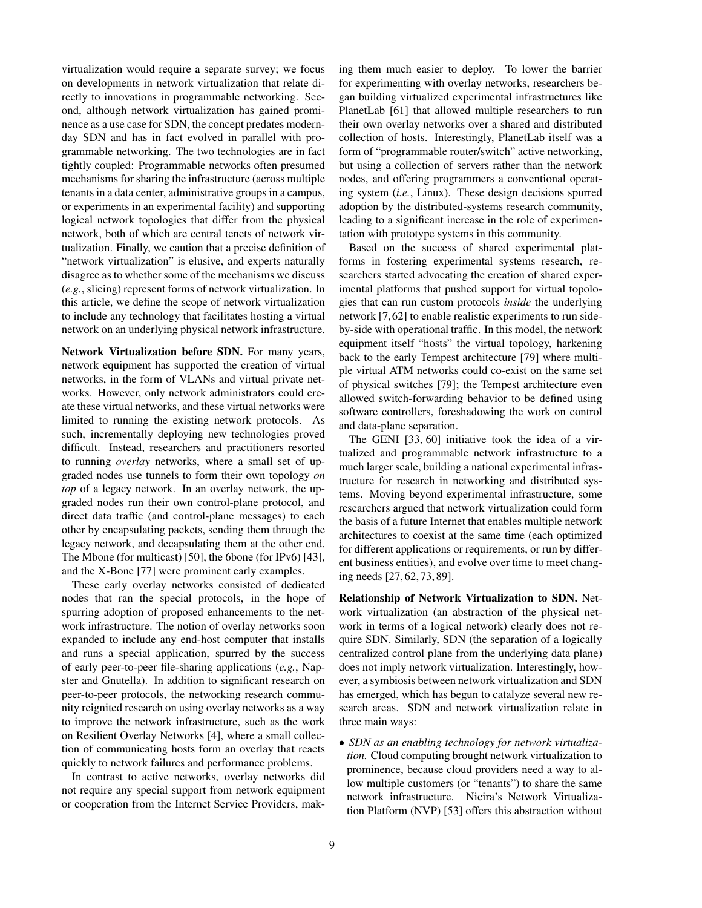virtualization would require a separate survey; we focus on developments in network virtualization that relate directly to innovations in programmable networking. Second, although network virtualization has gained prominence as a use case for SDN, the concept predates modernday SDN and has in fact evolved in parallel with programmable networking. The two technologies are in fact tightly coupled: Programmable networks often presumed mechanisms for sharing the infrastructure (across multiple tenants in a data center, administrative groups in a campus, or experiments in an experimental facility) and supporting logical network topologies that differ from the physical network, both of which are central tenets of network virtualization. Finally, we caution that a precise definition of "network virtualization" is elusive, and experts naturally disagree as to whether some of the mechanisms we discuss (*e.g.*, slicing) represent forms of network virtualization. In this article, we define the scope of network virtualization to include any technology that facilitates hosting a virtual network on an underlying physical network infrastructure.

Network Virtualization before SDN. For many years, network equipment has supported the creation of virtual networks, in the form of VLANs and virtual private networks. However, only network administrators could create these virtual networks, and these virtual networks were limited to running the existing network protocols. As such, incrementally deploying new technologies proved difficult. Instead, researchers and practitioners resorted to running *overlay* networks, where a small set of upgraded nodes use tunnels to form their own topology *on top* of a legacy network. In an overlay network, the upgraded nodes run their own control-plane protocol, and direct data traffic (and control-plane messages) to each other by encapsulating packets, sending them through the legacy network, and decapsulating them at the other end. The Mbone (for multicast) [50], the 6bone (for IPv6) [43], and the X-Bone [77] were prominent early examples.

These early overlay networks consisted of dedicated nodes that ran the special protocols, in the hope of spurring adoption of proposed enhancements to the network infrastructure. The notion of overlay networks soon expanded to include any end-host computer that installs and runs a special application, spurred by the success of early peer-to-peer file-sharing applications (*e.g.*, Napster and Gnutella). In addition to significant research on peer-to-peer protocols, the networking research community reignited research on using overlay networks as a way to improve the network infrastructure, such as the work on Resilient Overlay Networks [4], where a small collection of communicating hosts form an overlay that reacts quickly to network failures and performance problems.

In contrast to active networks, overlay networks did not require any special support from network equipment or cooperation from the Internet Service Providers, making them much easier to deploy. To lower the barrier for experimenting with overlay networks, researchers began building virtualized experimental infrastructures like PlanetLab [61] that allowed multiple researchers to run their own overlay networks over a shared and distributed collection of hosts. Interestingly, PlanetLab itself was a form of "programmable router/switch" active networking, but using a collection of servers rather than the network nodes, and offering programmers a conventional operating system (*i.e.*, Linux). These design decisions spurred adoption by the distributed-systems research community, leading to a significant increase in the role of experimentation with prototype systems in this community.

Based on the success of shared experimental platforms in fostering experimental systems research, researchers started advocating the creation of shared experimental platforms that pushed support for virtual topologies that can run custom protocols *inside* the underlying network [7,62] to enable realistic experiments to run sideby-side with operational traffic. In this model, the network equipment itself "hosts" the virtual topology, harkening back to the early Tempest architecture [79] where multiple virtual ATM networks could co-exist on the same set of physical switches [79]; the Tempest architecture even allowed switch-forwarding behavior to be defined using software controllers, foreshadowing the work on control and data-plane separation.

The GENI [33, 60] initiative took the idea of a virtualized and programmable network infrastructure to a much larger scale, building a national experimental infrastructure for research in networking and distributed systems. Moving beyond experimental infrastructure, some researchers argued that network virtualization could form the basis of a future Internet that enables multiple network architectures to coexist at the same time (each optimized for different applications or requirements, or run by different business entities), and evolve over time to meet changing needs [27, 62, 73, 89].

Relationship of Network Virtualization to SDN. Network virtualization (an abstraction of the physical network in terms of a logical network) clearly does not require SDN. Similarly, SDN (the separation of a logically centralized control plane from the underlying data plane) does not imply network virtualization. Interestingly, however, a symbiosis between network virtualization and SDN has emerged, which has begun to catalyze several new research areas. SDN and network virtualization relate in three main ways:

• *SDN as an enabling technology for network virtualization.* Cloud computing brought network virtualization to prominence, because cloud providers need a way to allow multiple customers (or "tenants") to share the same network infrastructure. Nicira's Network Virtualization Platform (NVP) [53] offers this abstraction without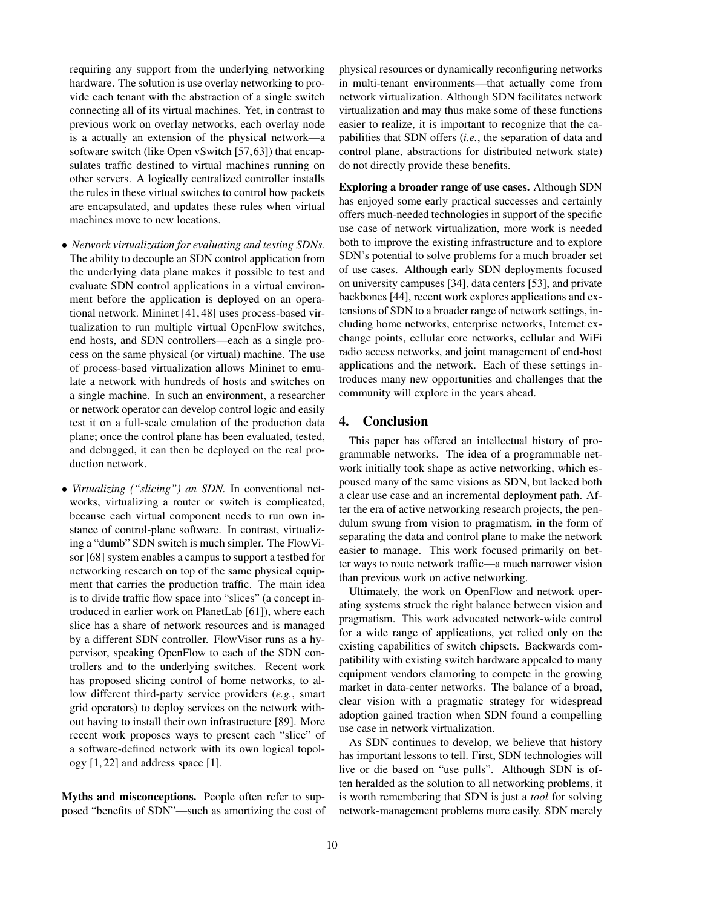requiring any support from the underlying networking hardware. The solution is use overlay networking to provide each tenant with the abstraction of a single switch connecting all of its virtual machines. Yet, in contrast to previous work on overlay networks, each overlay node is a actually an extension of the physical network—a software switch (like Open vSwitch [57,63]) that encapsulates traffic destined to virtual machines running on other servers. A logically centralized controller installs the rules in these virtual switches to control how packets are encapsulated, and updates these rules when virtual machines move to new locations.

- *Network virtualization for evaluating and testing SDNs.* The ability to decouple an SDN control application from the underlying data plane makes it possible to test and evaluate SDN control applications in a virtual environment before the application is deployed on an operational network. Mininet [41, 48] uses process-based virtualization to run multiple virtual OpenFlow switches, end hosts, and SDN controllers—each as a single process on the same physical (or virtual) machine. The use of process-based virtualization allows Mininet to emulate a network with hundreds of hosts and switches on a single machine. In such an environment, a researcher or network operator can develop control logic and easily test it on a full-scale emulation of the production data plane; once the control plane has been evaluated, tested, and debugged, it can then be deployed on the real production network.
- *Virtualizing ("slicing") an SDN.* In conventional networks, virtualizing a router or switch is complicated, because each virtual component needs to run own instance of control-plane software. In contrast, virtualizing a "dumb" SDN switch is much simpler. The FlowVisor [68] system enables a campus to support a testbed for networking research on top of the same physical equipment that carries the production traffic. The main idea is to divide traffic flow space into "slices" (a concept introduced in earlier work on PlanetLab [61]), where each slice has a share of network resources and is managed by a different SDN controller. FlowVisor runs as a hypervisor, speaking OpenFlow to each of the SDN controllers and to the underlying switches. Recent work has proposed slicing control of home networks, to allow different third-party service providers (*e.g.*, smart grid operators) to deploy services on the network without having to install their own infrastructure [89]. More recent work proposes ways to present each "slice" of a software-defined network with its own logical topology [1, 22] and address space [1].

Myths and misconceptions. People often refer to supposed "benefits of SDN"—such as amortizing the cost of physical resources or dynamically reconfiguring networks in multi-tenant environments—that actually come from network virtualization. Although SDN facilitates network virtualization and may thus make some of these functions easier to realize, it is important to recognize that the capabilities that SDN offers (*i.e.*, the separation of data and control plane, abstractions for distributed network state) do not directly provide these benefits.

Exploring a broader range of use cases. Although SDN has enjoyed some early practical successes and certainly offers much-needed technologies in support of the specific use case of network virtualization, more work is needed both to improve the existing infrastructure and to explore SDN's potential to solve problems for a much broader set of use cases. Although early SDN deployments focused on university campuses [34], data centers [53], and private backbones [44], recent work explores applications and extensions of SDN to a broader range of network settings, including home networks, enterprise networks, Internet exchange points, cellular core networks, cellular and WiFi radio access networks, and joint management of end-host applications and the network. Each of these settings introduces many new opportunities and challenges that the community will explore in the years ahead.

## 4. Conclusion

This paper has offered an intellectual history of programmable networks. The idea of a programmable network initially took shape as active networking, which espoused many of the same visions as SDN, but lacked both a clear use case and an incremental deployment path. After the era of active networking research projects, the pendulum swung from vision to pragmatism, in the form of separating the data and control plane to make the network easier to manage. This work focused primarily on better ways to route network traffic—a much narrower vision than previous work on active networking.

Ultimately, the work on OpenFlow and network operating systems struck the right balance between vision and pragmatism. This work advocated network-wide control for a wide range of applications, yet relied only on the existing capabilities of switch chipsets. Backwards compatibility with existing switch hardware appealed to many equipment vendors clamoring to compete in the growing market in data-center networks. The balance of a broad, clear vision with a pragmatic strategy for widespread adoption gained traction when SDN found a compelling use case in network virtualization.

As SDN continues to develop, we believe that history has important lessons to tell. First, SDN technologies will live or die based on "use pulls". Although SDN is often heralded as the solution to all networking problems, it is worth remembering that SDN is just a *tool* for solving network-management problems more easily. SDN merely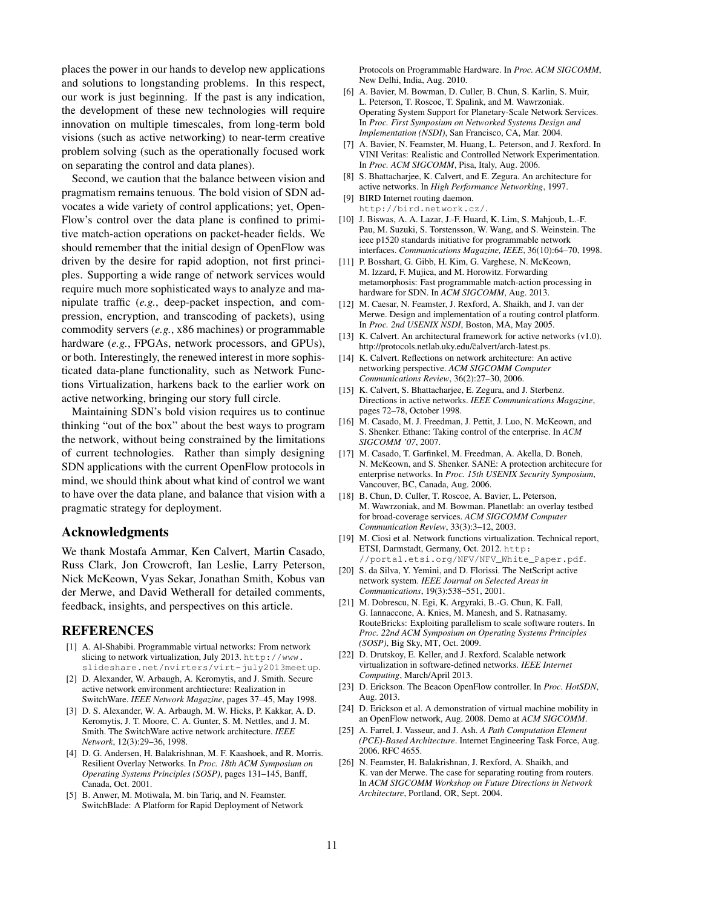places the power in our hands to develop new applications and solutions to longstanding problems. In this respect, our work is just beginning. If the past is any indication, the development of these new technologies will require innovation on multiple timescales, from long-term bold visions (such as active networking) to near-term creative problem solving (such as the operationally focused work on separating the control and data planes).

Second, we caution that the balance between vision and pragmatism remains tenuous. The bold vision of SDN advocates a wide variety of control applications; yet, Open-Flow's control over the data plane is confined to primitive match-action operations on packet-header fields. We should remember that the initial design of OpenFlow was driven by the desire for rapid adoption, not first principles. Supporting a wide range of network services would require much more sophisticated ways to analyze and manipulate traffic (*e.g.*, deep-packet inspection, and compression, encryption, and transcoding of packets), using commodity servers (*e.g.*, x86 machines) or programmable hardware (*e.g.*, FPGAs, network processors, and GPUs), or both. Interestingly, the renewed interest in more sophisticated data-plane functionality, such as Network Functions Virtualization, harkens back to the earlier work on active networking, bringing our story full circle.

Maintaining SDN's bold vision requires us to continue thinking "out of the box" about the best ways to program the network, without being constrained by the limitations of current technologies. Rather than simply designing SDN applications with the current OpenFlow protocols in mind, we should think about what kind of control we want to have over the data plane, and balance that vision with a pragmatic strategy for deployment.

## Acknowledgments

We thank Mostafa Ammar, Ken Calvert, Martin Casado, Russ Clark, Jon Crowcroft, Ian Leslie, Larry Peterson, Nick McKeown, Vyas Sekar, Jonathan Smith, Kobus van der Merwe, and David Wetherall for detailed comments, feedback, insights, and perspectives on this article.

#### **REFERENCES**

- [1] A. Al-Shabibi. Programmable virtual networks: From network slicing to network virtualization, July 2013. http://www. slideshare.net/nvirters/virt-july2013meetup.
- [2] D. Alexander, W. Arbaugh, A. Keromytis, and J. Smith. Secure active network environment archtiecture: Realization in SwitchWare. *IEEE Network Magazine*, pages 37–45, May 1998.
- [3] D. S. Alexander, W. A. Arbaugh, M. W. Hicks, P. Kakkar, A. D. Keromytis, J. T. Moore, C. A. Gunter, S. M. Nettles, and J. M. Smith. The SwitchWare active network architecture. *IEEE Network*, 12(3):29–36, 1998.
- [4] D. G. Andersen, H. Balakrishnan, M. F. Kaashoek, and R. Morris. Resilient Overlay Networks. In *Proc. 18th ACM Symposium on Operating Systems Principles (SOSP)*, pages 131–145, Banff, Canada, Oct. 2001.
- [5] B. Anwer, M. Motiwala, M. bin Tariq, and N. Feamster. SwitchBlade: A Platform for Rapid Deployment of Network

Protocols on Programmable Hardware. In *Proc. ACM SIGCOMM*, New Delhi, India, Aug. 2010.

- [6] A. Bavier, M. Bowman, D. Culler, B. Chun, S. Karlin, S. Muir, L. Peterson, T. Roscoe, T. Spalink, and M. Wawrzoniak. Operating System Support for Planetary-Scale Network Services. In *Proc. First Symposium on Networked Systems Design and Implementation (NSDI)*, San Francisco, CA, Mar. 2004.
- [7] A. Bavier, N. Feamster, M. Huang, L. Peterson, and J. Rexford. In VINI Veritas: Realistic and Controlled Network Experimentation. In *Proc. ACM SIGCOMM*, Pisa, Italy, Aug. 2006.
- [8] S. Bhattacharjee, K. Calvert, and E. Zegura. An architecture for active networks. In *High Performance Networking*, 1997.
- [9] BIRD Internet routing daemon. http://bird.network.cz/.
- [10] J. Biswas, A. A. Lazar, J.-F. Huard, K. Lim, S. Mahjoub, L.-F. Pau, M. Suzuki, S. Torstensson, W. Wang, and S. Weinstein. The ieee p1520 standards initiative for programmable network interfaces. *Communications Magazine, IEEE*, 36(10):64–70, 1998.
- [11] P. Bosshart, G. Gibb, H. Kim, G. Varghese, N. McKeown, M. Izzard, F. Mujica, and M. Horowitz. Forwarding metamorphosis: Fast programmable match-action processing in hardware for SDN. In *ACM SIGCOMM*, Aug. 2013.
- [12] M. Caesar, N. Feamster, J. Rexford, A. Shaikh, and J. van der Merwe. Design and implementation of a routing control platform. In *Proc. 2nd USENIX NSDI*, Boston, MA, May 2005.
- [13] K. Calvert. An architectural framework for active networks (v1.0). http://protocols.netlab.uky.edu/calvert/arch-latest.ps.
- [14] K. Calvert. Reflections on network architecture: An active networking perspective. *ACM SIGCOMM Computer Communications Review*, 36(2):27–30, 2006.
- [15] K. Calvert, S. Bhattacharjee, E. Zegura, and J. Sterbenz. Directions in active networks. *IEEE Communications Magazine*, pages 72–78, October 1998.
- [16] M. Casado, M. J. Freedman, J. Pettit, J. Luo, N. McKeown, and S. Shenker. Ethane: Taking control of the enterprise. In *ACM SIGCOMM '07*, 2007.
- [17] M. Casado, T. Garfinkel, M. Freedman, A. Akella, D. Boneh, N. McKeown, and S. Shenker. SANE: A protection architecure for enterprise networks. In *Proc. 15th USENIX Security Symposium*, Vancouver, BC, Canada, Aug. 2006.
- [18] B. Chun, D. Culler, T. Roscoe, A. Bavier, L. Peterson, M. Wawrzoniak, and M. Bowman. Planetlab: an overlay testbed for broad-coverage services. *ACM SIGCOMM Computer Communication Review*, 33(3):3–12, 2003.
- [19] M. Ciosi et al. Network functions virtualization. Technical report, ETSI, Darmstadt, Germany, Oct. 2012. http: //portal.etsi.org/NFV/NFV\_White\_Paper.pdf.
- [20] S. da Silva, Y. Yemini, and D. Florissi. The NetScript active network system. *IEEE Journal on Selected Areas in Communications*, 19(3):538–551, 2001.
- [21] M. Dobrescu, N. Egi, K. Argyraki, B.-G. Chun, K. Fall, G. Iannaccone, A. Knies, M. Manesh, and S. Ratnasamy. RouteBricks: Exploiting parallelism to scale software routers. In *Proc. 22nd ACM Symposium on Operating Systems Principles (SOSP)*, Big Sky, MT, Oct. 2009.
- [22] D. Drutskoy, E. Keller, and J. Rexford. Scalable network virtualization in software-defined networks. *IEEE Internet Computing*, March/April 2013.
- [23] D. Erickson. The Beacon OpenFlow controller. In *Proc. HotSDN*, Aug. 2013.
- [24] D. Erickson et al. A demonstration of virtual machine mobility in an OpenFlow network, Aug. 2008. Demo at *ACM SIGCOMM*.
- [25] A. Farrel, J. Vasseur, and J. Ash. *A Path Computation Element (PCE)-Based Architecture*. Internet Engineering Task Force, Aug. 2006. RFC 4655.
- [26] N. Feamster, H. Balakrishnan, J. Rexford, A. Shaikh, and K. van der Merwe. The case for separating routing from routers. In *ACM SIGCOMM Workshop on Future Directions in Network Architecture*, Portland, OR, Sept. 2004.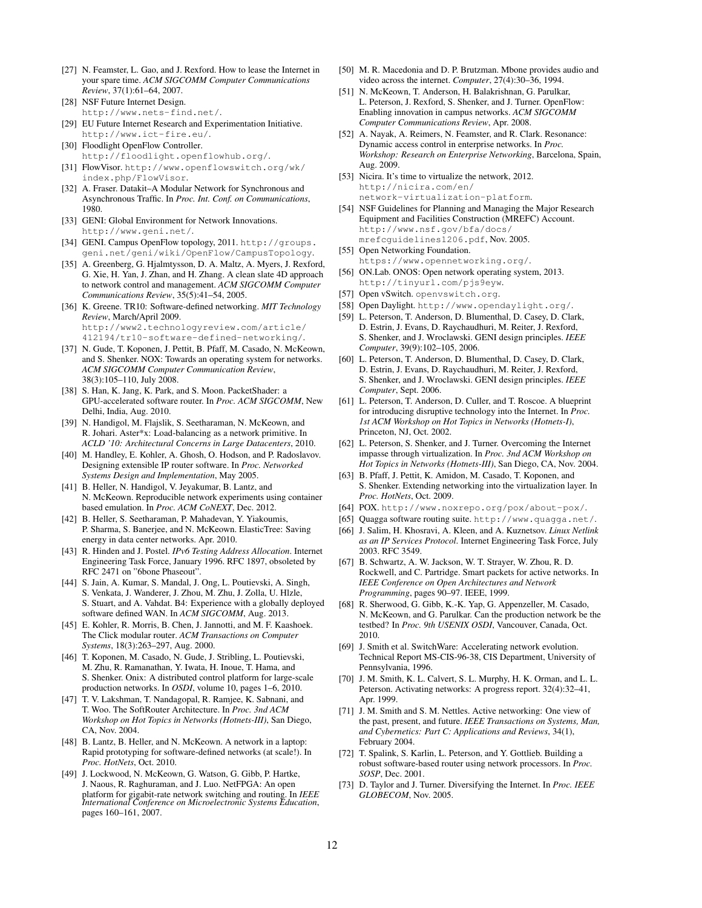- [27] N. Feamster, L. Gao, and J. Rexford. How to lease the Internet in your spare time. *ACM SIGCOMM Computer Communications Review*, 37(1):61–64, 2007.
- [28] NSF Future Internet Design. http://www.nets-find.net/.
- [29] EU Future Internet Research and Experimentation Initiative. http://www.ict-fire.eu/.
- [30] Floodlight OpenFlow Controller.
- http://floodlight.openflowhub.org/. [31] FlowVisor. http://www.openflowswitch.org/wk/ index.php/FlowVisor.
- [32] A. Fraser. Datakit–A Modular Network for Synchronous and Asynchronous Traffic. In *Proc. Int. Conf. on Communications*, 1980.
- [33] GENI: Global Environment for Network Innovations. http://www.geni.net/.
- [34] GENI. Campus OpenFlow topology, 2011. http://groups. geni.net/geni/wiki/OpenFlow/CampusTopology.
- [35] A. Greenberg, G. Hjalmtysson, D. A. Maltz, A. Myers, J. Rexford, G. Xie, H. Yan, J. Zhan, and H. Zhang. A clean slate 4D approach to network control and management. *ACM SIGCOMM Computer Communications Review*, 35(5):41–54, 2005.
- [36] K. Greene. TR10: Software-defined networking. *MIT Technology Review*, March/April 2009. http://www2.technologyreview.com/article/ 412194/tr10-software-defined-networking/.
- [37] N. Gude, T. Koponen, J. Pettit, B. Pfaff, M. Casado, N. McKeown, and S. Shenker. NOX: Towards an operating system for networks. *ACM SIGCOMM Computer Communication Review*, 38(3):105–110, July 2008.
- [38] S. Han, K. Jang, K. Park, and S. Moon. PacketShader: a GPU-accelerated software router. In *Proc. ACM SIGCOMM*, New Delhi, India, Aug. 2010.
- [39] N. Handigol, M. Flajslik, S. Seetharaman, N. McKeown, and R. Johari. Aster\*x: Load-balancing as a network primitive. In *ACLD '10: Architectural Concerns in Large Datacenters*, 2010.
- [40] M. Handley, E. Kohler, A. Ghosh, O. Hodson, and P. Radoslavov. Designing extensible IP router software. In *Proc. Networked Systems Design and Implementation*, May 2005.
- [41] B. Heller, N. Handigol, V. Jeyakumar, B. Lantz, and N. McKeown. Reproducible network experiments using container based emulation. In *Proc. ACM CoNEXT*, Dec. 2012.
- [42] B. Heller, S. Seetharaman, P. Mahadevan, Y. Yiakoumis, P. Sharma, S. Banerjee, and N. McKeown. ElasticTree: Saving energy in data center networks. Apr. 2010.
- [43] R. Hinden and J. Postel. *IPv6 Testing Address Allocation*. Internet Engineering Task Force, January 1996. RFC 1897, obsoleted by RFC 2471 on "6bone Phaseout".
- [44] S. Jain, A. Kumar, S. Mandal, J. Ong, L. Poutievski, A. Singh, S. Venkata, J. Wanderer, J. Zhou, M. Zhu, J. Zolla, U. Hlzle, S. Stuart, and A. Vahdat. B4: Experience with a globally deployed software defined WAN. In *ACM SIGCOMM*, Aug. 2013.
- [45] E. Kohler, R. Morris, B. Chen, J. Jannotti, and M. F. Kaashoek. The Click modular router. *ACM Transactions on Computer Systems*, 18(3):263–297, Aug. 2000.
- [46] T. Koponen, M. Casado, N. Gude, J. Stribling, L. Poutievski, M. Zhu, R. Ramanathan, Y. Iwata, H. Inoue, T. Hama, and S. Shenker. Onix: A distributed control platform for large-scale production networks. In *OSDI*, volume 10, pages 1–6, 2010.
- [47] T. V. Lakshman, T. Nandagopal, R. Ramjee, K. Sabnani, and T. Woo. The SoftRouter Architecture. In *Proc. 3nd ACM Workshop on Hot Topics in Networks (Hotnets-III)*, San Diego, CA, Nov. 2004.
- [48] B. Lantz, B. Heller, and N. McKeown. A network in a laptop: Rapid prototyping for software-defined networks (at scale!). In *Proc. HotNets*, Oct. 2010.
- [49] J. Lockwood, N. McKeown, G. Watson, G. Gibb, P. Hartke, J. Naous, R. Raghuraman, and J. Luo. NetFPGA: An open platform for gigabit-rate network switching and routing. In *IEEE International Conference on Microelectronic Systems Education*, pages 160–161, 2007.
- [50] M. R. Macedonia and D. P. Brutzman. Mbone provides audio and video across the internet. *Computer*, 27(4):30–36, 1994.
- [51] N. McKeown, T. Anderson, H. Balakrishnan, G. Parulkar, L. Peterson, J. Rexford, S. Shenker, and J. Turner. OpenFlow: Enabling innovation in campus networks. *ACM SIGCOMM Computer Communications Review*, Apr. 2008.
- [52] A. Nayak, A. Reimers, N. Feamster, and R. Clark. Resonance: Dynamic access control in enterprise networks. In *Proc. Workshop: Research on Enterprise Networking*, Barcelona, Spain, Aug. 2009.
- [53] Nicira. It's time to virtualize the network, 2012. http://nicira.com/en/ network-virtualization-platform.
- [54] NSF Guidelines for Planning and Managing the Major Research Equipment and Facilities Construction (MREFC) Account. http://www.nsf.gov/bfa/docs/ mrefcguidelines1206.pdf, Nov. 2005.
- [55] Open Networking Foundation. https://www.opennetworking.org/.
- [56] ON.Lab. ONOS: Open network operating system, 2013. http://tinyurl.com/pjs9eyw.
- [57] Open vSwitch. openvswitch.org.
- [58] Open Daylight. http://www.opendaylight.org/.
- [59] L. Peterson, T. Anderson, D. Blumenthal, D. Casey, D. Clark, D. Estrin, J. Evans, D. Raychaudhuri, M. Reiter, J. Rexford, S. Shenker, and J. Wroclawski. GENI design principles. *IEEE Computer*, 39(9):102–105, 2006.
- [60] L. Peterson, T. Anderson, D. Blumenthal, D. Casey, D. Clark, D. Estrin, J. Evans, D. Raychaudhuri, M. Reiter, J. Rexford, S. Shenker, and J. Wroclawski. GENI design principles. *IEEE Computer*, Sept. 2006.
- [61] L. Peterson, T. Anderson, D. Culler, and T. Roscoe. A blueprint for introducing disruptive technology into the Internet. In *Proc. 1st ACM Workshop on Hot Topics in Networks (Hotnets-I)*, Princeton, NJ, Oct. 2002.
- [62] L. Peterson, S. Shenker, and J. Turner. Overcoming the Internet impasse through virtualization. In *Proc. 3nd ACM Workshop on Hot Topics in Networks (Hotnets-III)*, San Diego, CA, Nov. 2004.
- [63] B. Pfaff, J. Pettit, K. Amidon, M. Casado, T. Koponen, and S. Shenker. Extending networking into the virtualization layer. In *Proc. HotNets*, Oct. 2009.
- [64] POX. http://www.noxrepo.org/pox/about-pox/.
- [65] Quagga software routing suite. http://www.quagga.net/.
- [66] J. Salim, H. Khosravi, A. Kleen, and A. Kuznetsov. *Linux Netlink as an IP Services Protocol*. Internet Engineering Task Force, July 2003. RFC 3549.
- [67] B. Schwartz, A. W. Jackson, W. T. Strayer, W. Zhou, R. D. Rockwell, and C. Partridge. Smart packets for active networks. In *IEEE Conference on Open Architectures and Network Programming*, pages 90–97. IEEE, 1999.
- [68] R. Sherwood, G. Gibb, K.-K. Yap, G. Appenzeller, M. Casado, N. McKeown, and G. Parulkar. Can the production network be the testbed? In *Proc. 9th USENIX OSDI*, Vancouver, Canada, Oct. 2010.
- [69] J. Smith et al. SwitchWare: Accelerating network evolution. Technical Report MS-CIS-96-38, CIS Department, University of Pennsylvania, 1996.
- [70] J. M. Smith, K. L. Calvert, S. L. Murphy, H. K. Orman, and L. L. Peterson. Activating networks: A progress report. 32(4):32–41, Apr. 1999.
- [71] J. M. Smith and S. M. Nettles. Active networking: One view of the past, present, and future. *IEEE Transactions on Systems, Man, and Cybernetics: Part C: Applications and Reviews*, 34(1), February 2004.
- [72] T. Spalink, S. Karlin, L. Peterson, and Y. Gottlieb. Building a robust software-based router using network processors. In *Proc. SOSP*, Dec. 2001.
- [73] D. Taylor and J. Turner. Diversifying the Internet. In *Proc. IEEE GLOBECOM*, Nov. 2005.